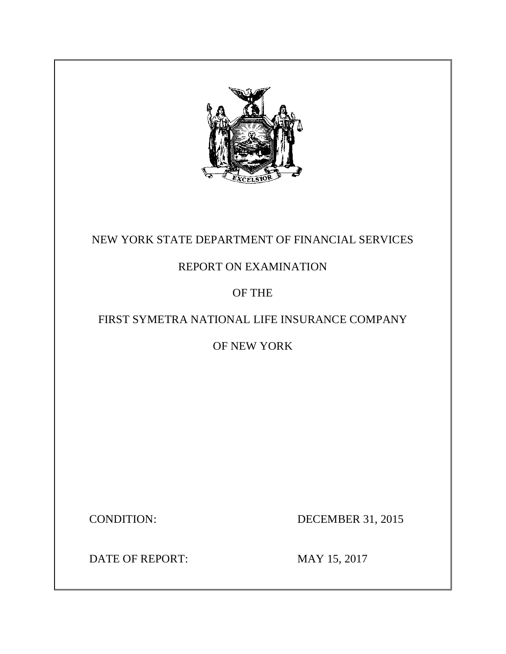

# NEW YORK STATE DEPARTMENT OF FINANCIAL SERVICES

# REPORT ON EXAMINATION

# OF THE

# FIRST SYMETRA NATIONAL LIFE INSURANCE COMPANY

# OF NEW YORK

**CONDITION:** 

DECEMBER 31, 2015

DATE OF REPORT: MAY 15, 2017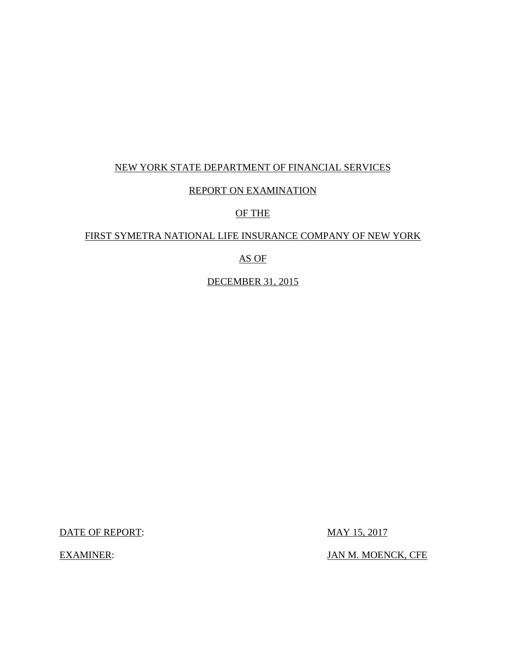# NEW YORK STATE DEPARTMENT OF FINANCIAL SERVICES

# REPORT ON EXAMINATION

## OF THE

## FIRST SYMETRA NATIONAL LIFE INSURANCE COMPANY OF NEW YORK

### AS OF

DECEMBER 31, 2015

DATE OF REPORT: MAY 15, 2017

**EXAMINER:** 

JAN M. MOENCK, CFE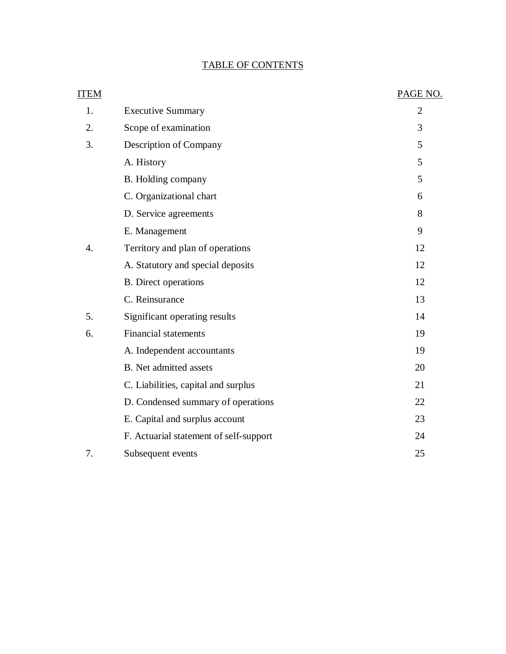### TABLE OF CONTENTS

| ITEM |                                        | PAGE NO.       |
|------|----------------------------------------|----------------|
| 1.   | <b>Executive Summary</b>               | $\overline{2}$ |
| 2.   | Scope of examination                   | 3              |
| 3.   | Description of Company                 | 5              |
|      | A. History                             | 5              |
|      | B. Holding company                     | 5              |
|      | C. Organizational chart                | 6              |
|      | D. Service agreements                  | 8              |
|      | E. Management                          | 9              |
| 4.   | Territory and plan of operations       | 12             |
|      | A. Statutory and special deposits      | 12             |
|      | <b>B.</b> Direct operations            | 12             |
|      | C. Reinsurance                         | 13             |
| 5.   | Significant operating results          | 14             |
| 6.   | <b>Financial statements</b>            | 19             |
|      | A. Independent accountants             | 19             |
|      | <b>B.</b> Net admitted assets          | 20             |
|      | C. Liabilities, capital and surplus    | 21             |
|      | D. Condensed summary of operations     | 22             |
|      | E. Capital and surplus account         | 23             |
|      | F. Actuarial statement of self-support | 24             |
| 7.   | Subsequent events                      | 25             |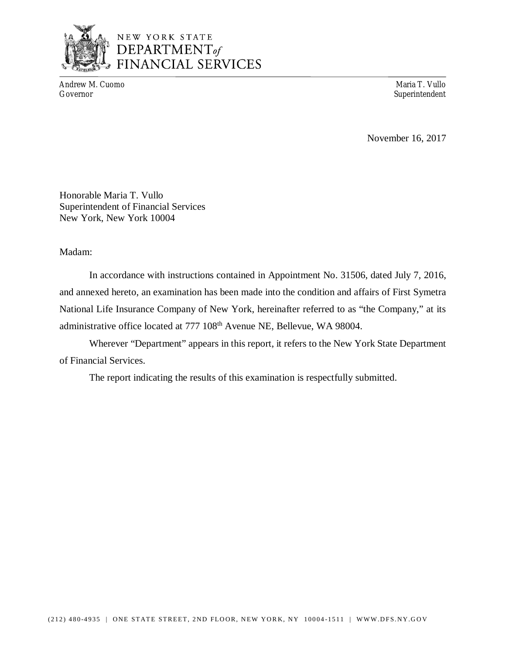

# NEW YORK STATE DEPARTMENT<sub>of</sub> **FINANCIAL SERVICES**

Andrew M. Cuomo Maria T. Vullo

Superintendent

November 16, 2017

 Honorable Maria T. Vullo Superintendent of Financial Services New York, New York 10004

### Madam:

 and annexed hereto, an examination has been made into the condition and affairs of First Symetra National Life Insurance Company of New York, hereinafter referred to as "the Company," at its administrative office located at 777 108<sup>th</sup> Avenue NE, Bellevue, WA 98004. In accordance with instructions contained in Appointment No. 31506, dated July 7, 2016,

 Wherever "Department" appears in this report, it refers to the New York State Department of Financial Services.

The report indicating the results of this examination is respectfully submitted.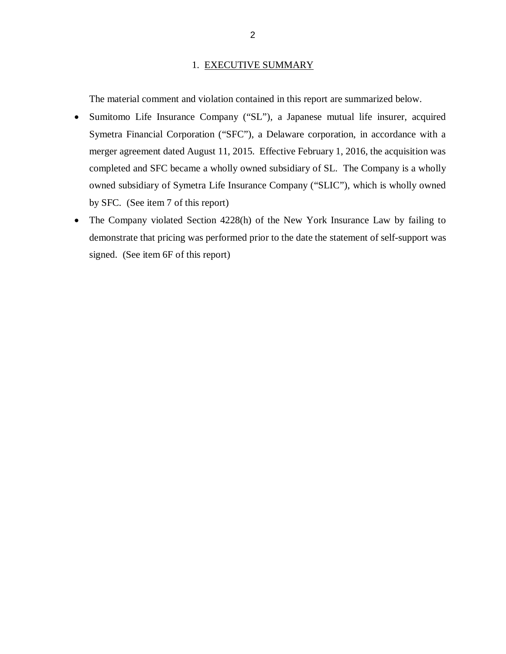#### 1. EXECUTIVE SUMMARY

The material comment and violation contained in this report are summarized below.

- Sumitomo Life Insurance Company ("SL"), a Japanese mutual life insurer, acquired Symetra Financial Corporation ("SFC"), a Delaware corporation, in accordance with a merger agreement dated August 11, 2015. Effective February 1, 2016, the acquisition was completed and SFC became a wholly owned subsidiary of SL. The Company is a wholly owned subsidiary of Symetra Life Insurance Company ("SLIC"), which is wholly owned by SFC. (See item 7 of this report)
- The Company violated Section 4228(h) of the New York Insurance Law by failing to demonstrate that pricing was performed prior to the date the statement of self-support was signed. (See item 6F of this report)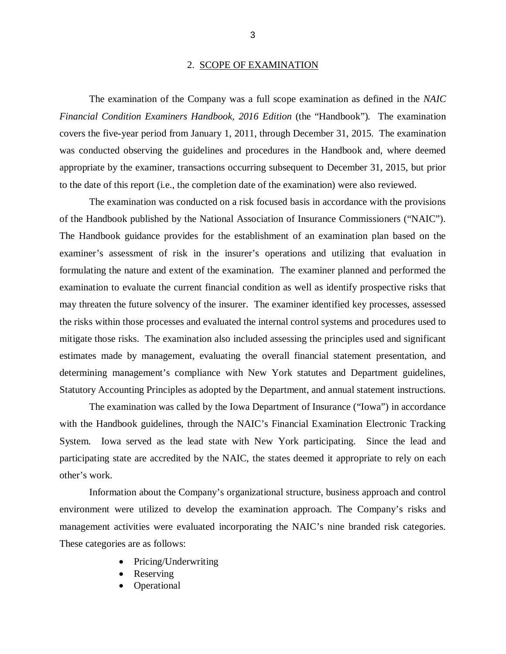#### 2. SCOPE OF EXAMINATION

 *Financial Condition Examiners Handbook, 2016 Edition* (the "Handbook")*.* The examination covers the five*-*year period from January 1, 2011, through December 31, 2015. The examination was conducted observing the guidelines and procedures in the Handbook and, where deemed appropriate by the examiner, transactions occurring subsequent to December 31, 2015, but prior to the date of this report (i.e., the completion date of the examination) were also reviewed. The examination of the Company was a full scope examination as defined in the *NAIC* 

 of the Handbook published by the National Association of Insurance Commissioners ("NAIC"). The Handbook guidance provides for the establishment of an examination plan based on the examiner's assessment of risk in the insurer's operations and utilizing that evaluation in formulating the nature and extent of the examination. The examiner planned and performed the examination to evaluate the current financial condition as well as identify prospective risks that may threaten the future solvency of the insurer. The examiner identified key processes, assessed the risks within those processes and evaluated the internal control systems and procedures used to mitigate those risks. The examination also included assessing the principles used and significant estimates made by management, evaluating the overall financial statement presentation, and determining management's compliance with New York statutes and Department guidelines, Statutory Accounting Principles as adopted by the Department, and annual statement instructions. The examination was conducted on a risk focused basis in accordance with the provisions

 The examination was called by the Iowa Department of Insurance ("Iowa") in accordance with the Handbook guidelines, through the NAIC's Financial Examination Electronic Tracking System. Iowa served as the lead state with New York participating. Since the lead and participating state are accredited by the NAIC, the states deemed it appropriate to rely on each other's work.

 Information about the Company's organizational structure, business approach and control environment were utilized to develop the examination approach. The Company's risks and management activities were evaluated incorporating the NAIC's nine branded risk categories. These categories are as follows:

- Pricing/Underwriting
- Reserving
- Operational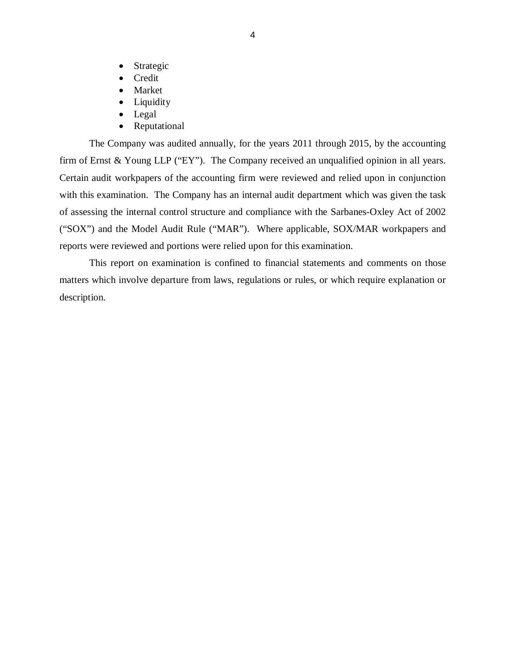- Strategic
- Credit
- Market
- Liquidity
- Legal
- Reputational

 The Company was audited annually, for the years 2011 through 2015, by the accounting firm of Ernst & Young LLP ("EY"). The Company received an unqualified opinion in all years. Certain audit workpapers of the accounting firm were reviewed and relied upon in conjunction with this examination. The Company has an internal audit department which was given the task of assessing the internal control structure and compliance with the Sarbanes-Oxley Act of 2002 ("SOX") and the Model Audit Rule ("MAR"). Where applicable, SOX/MAR workpapers and reports were reviewed and portions were relied upon for this examination.

 matters which involve departure from laws, regulations or rules, or which require explanation or This report on examination is confined to financial statements and comments on those description.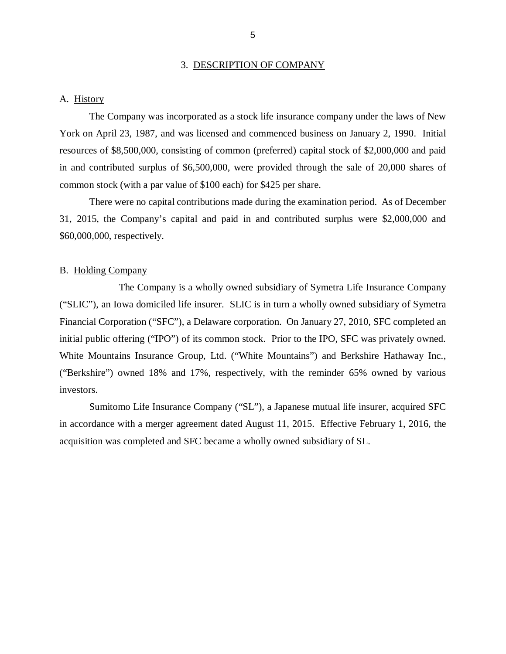#### 3. DESCRIPTION OF COMPANY

#### <span id="page-7-0"></span>A. History

 York on April 23, 1987, and was licensed and commenced business on January 2, 1990. Initial resources of \$8,500,000, consisting of common (preferred) capital stock of \$2,000,000 and paid in and contributed surplus of \$6,500,000, were provided through the sale of 20,000 shares of common stock (with a par value of \$100 each) for \$425 per share. The Company was incorporated as a stock life insurance company under the laws of New

 There were no capital contributions made during the examination period. As of December 31, 2015, the Company's capital and paid in and contributed surplus were \$2,000,000 and \$60,000,000, respectively.

#### B. Holding Company

 ("SLIC"), an Iowa domiciled life insurer. SLIC is in turn a wholly owned subsidiary of Symetra Financial Corporation ("SFC"), a Delaware corporation. On January 27, 2010, SFC completed an initial public offering ("IPO") of its common stock. Prior to the IPO, SFC was privately owned. White Mountains Insurance Group, Ltd. ("White Mountains") and Berkshire Hathaway Inc., ("Berkshire") owned 18% and 17%, respectively, with the reminder 65% owned by various investors. The Company is a wholly owned subsidiary of Symetra Life Insurance Company

 investors. Sumitomo Life Insurance Company ("SL"), a Japanese mutual life insurer, acquired SFC in accordance with a merger agreement dated August 11, 2015. Effective February 1, 2016, the acquisition was completed and SFC became a wholly owned subsidiary of SL.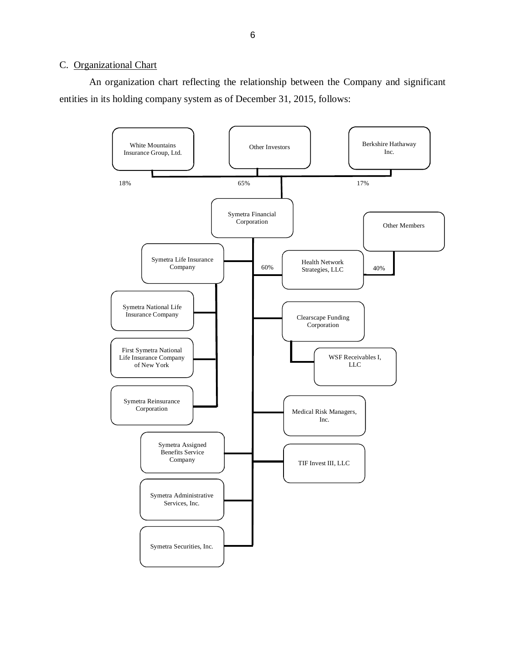#### <span id="page-8-0"></span>C. Organizational Chart

 entities in its holding company system as of December 31, 2015, follows: An organization chart reflecting the relationship between the Company and significant

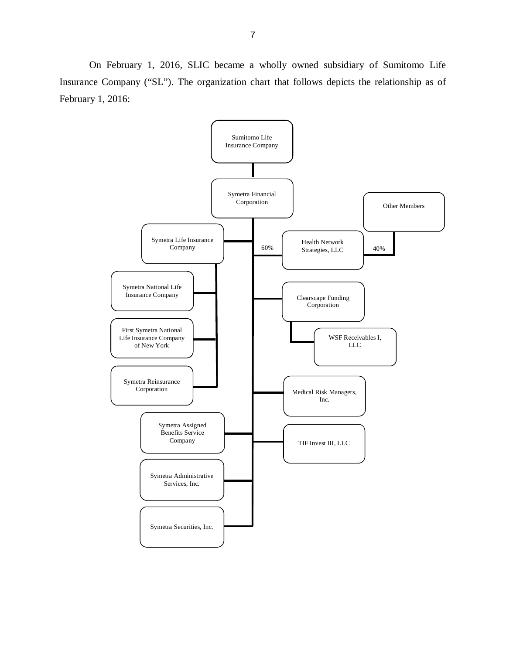Insurance Company ("SL"). The organization chart that follows depicts the relationship as of February 1, 2016: On February 1, 2016, SLIC became a wholly owned subsidiary of Sumitomo Life

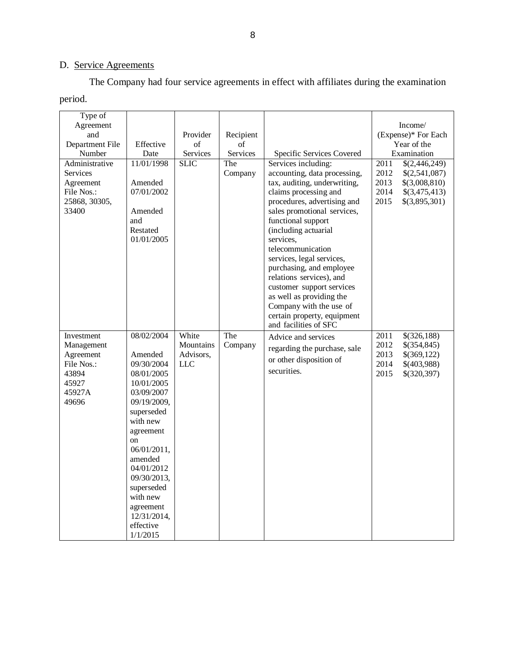#### D. Service Agreements

The Company had four service agreements in effect with affiliates during the examination

| period.                                                                                  |                                                                                                                                                                                                                                                                                            |                                               |                             |                                                                                                                                                                                                                                                                                                                                                                                                                                                                                             |                                      |                                                                                   |
|------------------------------------------------------------------------------------------|--------------------------------------------------------------------------------------------------------------------------------------------------------------------------------------------------------------------------------------------------------------------------------------------|-----------------------------------------------|-----------------------------|---------------------------------------------------------------------------------------------------------------------------------------------------------------------------------------------------------------------------------------------------------------------------------------------------------------------------------------------------------------------------------------------------------------------------------------------------------------------------------------------|--------------------------------------|-----------------------------------------------------------------------------------|
| Type of<br>Agreement<br>and<br>Department File<br>Number                                 | Effective<br>Date                                                                                                                                                                                                                                                                          | Provider<br>of<br>Services                    | Recipient<br>of<br>Services | Specific Services Covered                                                                                                                                                                                                                                                                                                                                                                                                                                                                   |                                      | Income/<br>(Expense)* For Each<br>Year of the<br>Examination                      |
| Administrative<br><b>Services</b><br>Agreement<br>File Nos.:<br>25868, 30305,<br>33400   | 11/01/1998<br>Amended<br>07/01/2002<br>Amended<br>and<br>Restated<br>01/01/2005                                                                                                                                                                                                            | <b>SLIC</b>                                   | The<br>Company              | Services including:<br>accounting, data processing,<br>tax, auditing, underwriting,<br>claims processing and<br>procedures, advertising and<br>sales promotional services,<br>functional support<br>(including actuarial<br>services,<br>telecommunication<br>services, legal services,<br>purchasing, and employee<br>relations services), and<br>customer support services<br>as well as providing the<br>Company with the use of<br>certain property, equipment<br>and facilities of SFC | 2011<br>2012<br>2013<br>2014<br>2015 | \$(2,446,249)<br>\$(2,541,087)<br>\$(3,008,810)<br>\$(3,475,413)<br>\$(3,895,301) |
| Investment<br>Management<br>Agreement<br>File Nos.:<br>43894<br>45927<br>45927A<br>49696 | 08/02/2004<br>Amended<br>09/30/2004<br>08/01/2005<br>10/01/2005<br>03/09/2007<br>09/19/2009,<br>superseded<br>with new<br>agreement<br><sub>on</sub><br>06/01/2011,<br>amended<br>04/01/2012<br>09/30/2013,<br>superseded<br>with new<br>agreement<br>12/31/2014,<br>effective<br>1/1/2015 | White<br>Mountains<br>Advisors,<br><b>LLC</b> | The<br>Company              | Advice and services<br>regarding the purchase, sale<br>or other disposition of<br>securities.                                                                                                                                                                                                                                                                                                                                                                                               | 2011<br>2012<br>2013<br>2014<br>2015 | \$(326,188)<br>\$(354,845)<br>\$(369,122)<br>\$(403,988)<br>\$(320,397)           |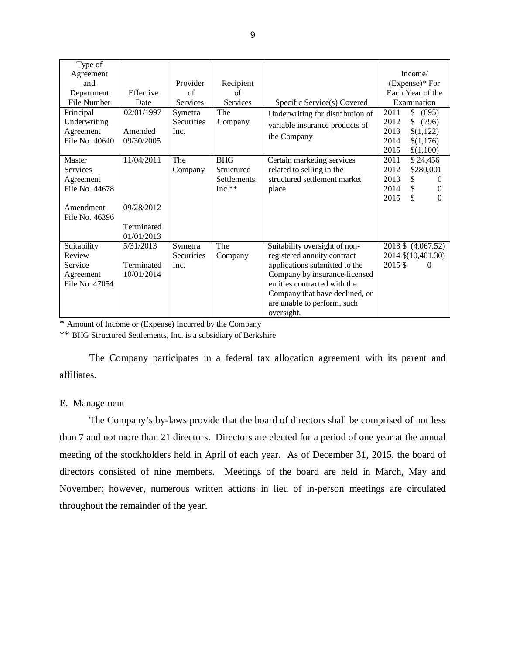| Type of<br>Agreement<br>and<br>Department<br>File Number<br>Principal<br>Underwriting<br>Agreement<br>File No. 40640<br>Master | Effective<br>Date<br>02/01/1997<br>Amended<br>09/30/2005<br>11/04/2011 | Provider<br>of<br><b>Services</b><br>Symetra<br><b>Securities</b><br>Inc.<br>The | Recipient<br>of<br>Services<br>The<br>Company<br><b>BHG</b> | Specific Service(s) Covered<br>Underwriting for distribution of<br>variable insurance products of<br>the Company<br>Certain marketing services                                                                                                | Income/<br>$(Express)*$ For<br>Each Year of the<br>Examination<br>\$<br>2011<br>(695)<br>\$<br>2012<br>(796)<br>2013<br>\$(1,122)<br>2014<br>\$(1,176)<br>2015<br>\$(1,100)<br>2011<br>\$24,456 |
|--------------------------------------------------------------------------------------------------------------------------------|------------------------------------------------------------------------|----------------------------------------------------------------------------------|-------------------------------------------------------------|-----------------------------------------------------------------------------------------------------------------------------------------------------------------------------------------------------------------------------------------------|-------------------------------------------------------------------------------------------------------------------------------------------------------------------------------------------------|
| <b>Services</b><br>Agreement<br>File No. 44678<br>Amendment<br>File No. 46396                                                  | 09/28/2012<br>Terminated<br>01/01/2013                                 | Company                                                                          | Structured<br>Settlements,<br>$Inc.**$                      | related to selling in the<br>structured settlement market<br>place                                                                                                                                                                            | 2012<br>\$280,001<br>2013<br>\$<br>$\Omega$<br>\$<br>2014<br>$\mathbf{0}$<br>\$<br>2015<br>$\Omega$                                                                                             |
| Suitability<br>Review<br>Service<br>Agreement<br>File No. 47054                                                                | 5/31/2013<br>Terminated<br>10/01/2014                                  | Symetra<br><b>Securities</b><br>Inc.                                             | The<br>Company                                              | Suitability oversight of non-<br>registered annuity contract<br>applications submitted to the<br>Company by insurance-licensed<br>entities contracted with the<br>Company that have declined, or<br>are unable to perform, such<br>oversight. | 2013 \$ (4,067.52)<br>2014 \$(10,401.30)<br>2015\$<br>$\Omega$                                                                                                                                  |

\* Amount of Income or (Expense) Incurred by the Company

\*\* BHG Structured Settlements, Inc. is a subsidiary of Berkshire

 The Company participates in a federal tax allocation agreement with its parent and affiliates.

#### E. Management

 than 7 and not more than 21 directors. Directors are elected for a period of one year at the annual meeting of the stockholders held in April of each year. As of December 31, 2015, the board of directors consisted of nine members. Meetings of the board are held in March, May and November; however, numerous written actions in lieu of in-person meetings are circulated throughout the remainder of the year. The Company's by-laws provide that the board of directors shall be comprised of not less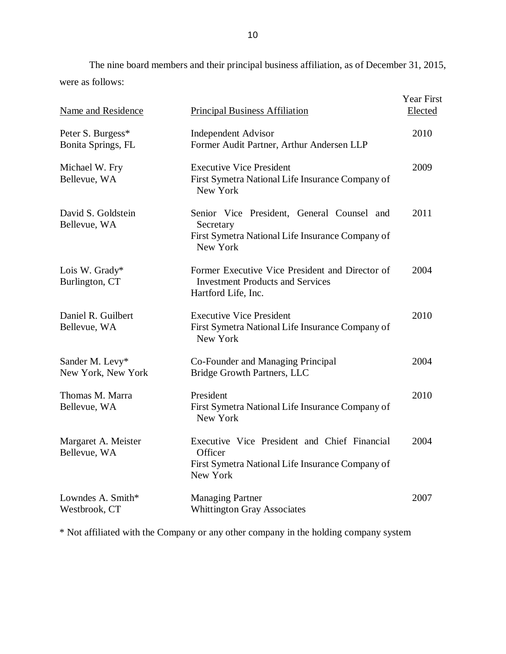were as follows: The nine board members and their principal business affiliation, as of December 31, 2015,

| <b>Name and Residence</b>               | <b>Principal Business Affiliation</b>                                                                                   | Year First<br>Elected |
|-----------------------------------------|-------------------------------------------------------------------------------------------------------------------------|-----------------------|
| Peter S. Burgess*<br>Bonita Springs, FL | <b>Independent Advisor</b><br>Former Audit Partner, Arthur Andersen LLP                                                 | 2010                  |
| Michael W. Fry<br>Bellevue, WA          | <b>Executive Vice President</b><br>First Symetra National Life Insurance Company of<br>New York                         | 2009                  |
| David S. Goldstein<br>Bellevue, WA      | Senior Vice President, General Counsel and<br>Secretary<br>First Symetra National Life Insurance Company of<br>New York | 2011                  |
| Lois W. Grady*<br>Burlington, CT        | Former Executive Vice President and Director of<br><b>Investment Products and Services</b><br>Hartford Life, Inc.       | 2004                  |
| Daniel R. Guilbert<br>Bellevue, WA      | <b>Executive Vice President</b><br>First Symetra National Life Insurance Company of<br>New York                         | 2010                  |
| Sander M. Levy*<br>New York, New York   | Co-Founder and Managing Principal<br>Bridge Growth Partners, LLC                                                        | 2004                  |
| Thomas M. Marra<br>Bellevue, WA         | President<br>First Symetra National Life Insurance Company of<br>New York                                               | 2010                  |
| Margaret A. Meister<br>Bellevue, WA     | Executive Vice President and Chief Financial<br>Officer<br>First Symetra National Life Insurance Company of<br>New York | 2004                  |
| Lowndes A. Smith*<br>Westbrook, CT      | <b>Managing Partner</b><br><b>Whittington Gray Associates</b>                                                           | 2007                  |

\* Not affiliated with the Company or any other company in the holding company system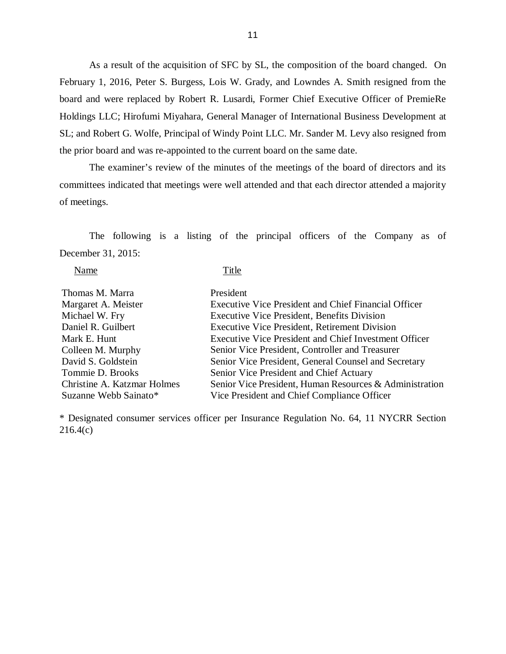As a result of the acquisition of SFC by SL, the composition of the board changed. On February 1, 2016, Peter S. Burgess, Lois W. Grady, and Lowndes A. Smith resigned from the board and were replaced by Robert R. Lusardi, Former Chief Executive Officer of PremieRe Holdings LLC; Hirofumi Miyahara, General Manager of International Business Development at SL; and Robert G. Wolfe, Principal of Windy Point LLC. Mr. Sander M. Levy also resigned from the prior board and was re-appointed to the current board on the same date.

 committees indicated that meetings were well attended and that each director attended a majority of meetings. The examiner's review of the minutes of the meetings of the board of directors and its

 The following is a listing of the principal officers of the Company as of December 31, 2015:

Name Title

| Thomas M. Marra             | President                                                    |
|-----------------------------|--------------------------------------------------------------|
| Margaret A. Meister         | <b>Executive Vice President and Chief Financial Officer</b>  |
| Michael W. Fry              | <b>Executive Vice President, Benefits Division</b>           |
| Daniel R. Guilbert          | <b>Executive Vice President, Retirement Division</b>         |
| Mark E. Hunt                | <b>Executive Vice President and Chief Investment Officer</b> |
| Colleen M. Murphy           | Senior Vice President, Controller and Treasurer              |
| David S. Goldstein          | Senior Vice President, General Counsel and Secretary         |
| Tommie D. Brooks            | Senior Vice President and Chief Actuary                      |
| Christine A. Katzmar Holmes | Senior Vice President, Human Resources & Administration      |
| Suzanne Webb Sainato*       | Vice President and Chief Compliance Officer                  |

 \* Designated consumer services officer per Insurance Regulation No. 64, 11 NYCRR Section 216.4(c)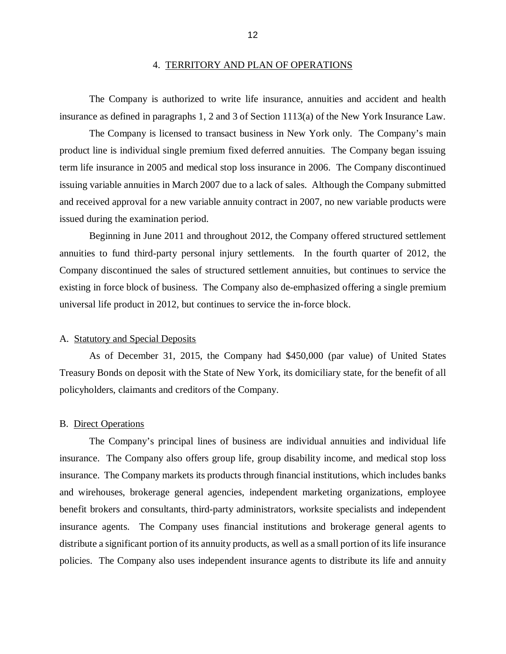#### 4. TERRITORY AND PLAN OF OPERATIONS

<span id="page-14-0"></span> insurance as defined in paragraphs 1, 2 and 3 of Section 1113(a) of the New York Insurance Law. The Company is authorized to write life insurance, annuities and accident and health

 product line is individual single premium fixed deferred annuities. The Company began issuing term life insurance in 2005 and medical stop loss insurance in 2006. The Company discontinued issuing variable annuities in March 2007 due to a lack of sales. Although the Company submitted and received approval for a new variable annuity contract in 2007, no new variable products were issued during the examination period. The Company is licensed to transact business in New York only. The Company's main

 Beginning in June 2011 and throughout 2012, the Company offered structured settlement annuities to fund third-party personal injury settlements. In the fourth quarter of 2012, the Company discontinued the sales of structured settlement annuities, but continues to service the existing in force block of business. The Company also de-emphasized offering a single premium universal life product in 2012, but continues to service the in-force block.

#### A. Statutory and Special Deposits

 Treasury Bonds on deposit with the State of New York, its domiciliary state, for the benefit of all policyholders, claimants and creditors of the Company. As of December 31, 2015, the Company had \$450,000 (par value) of United States

#### B. Direct Operations

 insurance. The Company also offers group life, group disability income, and medical stop loss insurance. The Company markets its products through financial institutions, which includes banks and wirehouses, brokerage general agencies, independent marketing organizations, employee benefit brokers and consultants, third-party administrators, worksite specialists and independent insurance agents. The Company uses financial institutions and brokerage general agents to distribute a significant portion of its annuity products, as well as a small portion of its life insurance policies. The Company also uses independent insurance agents to distribute its life and annuity The Company's principal lines of business are individual annuities and individual life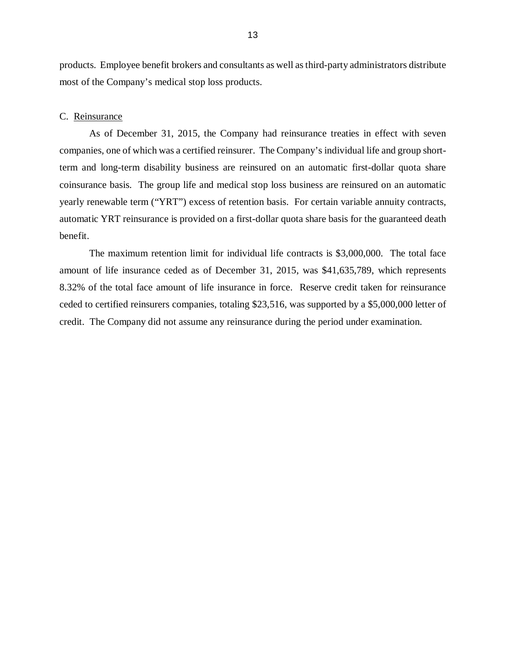<span id="page-15-0"></span> products. Employee benefit brokers and consultants as well as third-party administrators distribute most of the Company's medical stop loss products.

#### C. Reinsurance

 companies, one of which was a certified reinsurer. The Company's individual life and group short- term and long-term disability business are reinsured on an automatic first-dollar quota share coinsurance basis. The group life and medical stop loss business are reinsured on an automatic yearly renewable term ("YRT") excess of retention basis. For certain variable annuity contracts, automatic YRT reinsurance is provided on a first-dollar quota share basis for the guaranteed death As of December 31, 2015, the Company had reinsurance treaties in effect with seven benefit.

 amount of life insurance ceded as of December 31, 2015, was \$41,635,789, which represents 8.32% of the total face amount of life insurance in force. Reserve credit taken for reinsurance ceded to certified reinsurers companies, totaling \$23,516, was supported by a \$5,000,000 letter of credit. The Company did not assume any reinsurance during the period under examination. The maximum retention limit for individual life contracts is \$3,000,000. The total face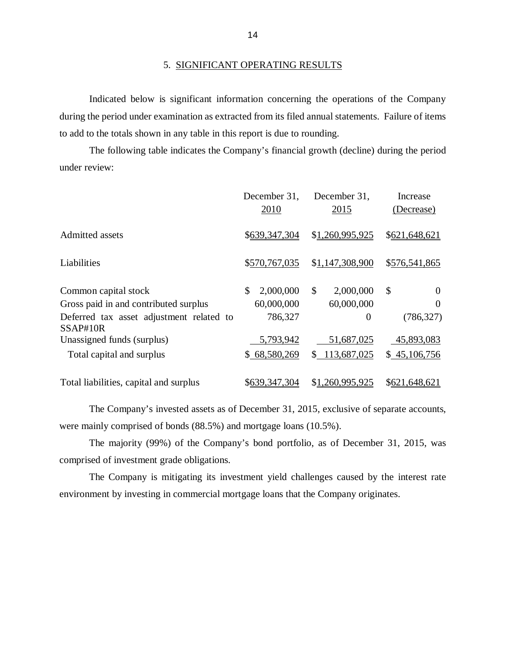#### 5. SIGNIFICANT OPERATING RESULTS

 Indicated below is significant information concerning the operations of the Company during the period under examination as extracted from its filed annual statements. Failure of items to add to the totals shown in any table in this report is due to rounding.

 under review: The following table indicates the Company's financial growth (decline) during the period

|                                                      | December 31,<br>2010 | December 31,<br>2015 | Increase<br>(Decrease)    |
|------------------------------------------------------|----------------------|----------------------|---------------------------|
| Admitted assets                                      | \$639,347,304        | \$1,260,995,925      | \$621,648,621             |
| Liabilities                                          | \$570,767,035        | \$1,147,308,900      | \$576,541,865             |
| Common capital stock                                 | \$<br>2,000,000      | \$<br>2,000,000      | $\mathcal{S}$<br>$\theta$ |
| Gross paid in and contributed surplus                | 60,000,000           | 60,000,000           | $\theta$                  |
| Deferred tax asset adjustment related to<br>SSAP#10R | 786,327              | $\theta$             | (786, 327)                |
| Unassigned funds (surplus)                           | 5,793,942            | 51,687,025           | 45,893,083                |
| Total capital and surplus                            | \$68,580,269         | \$113,687,025        | \$45,106,756              |
| Total liabilities, capital and surplus               | \$639,347,304        | \$1,260,995,925      | \$621,648,621             |

 were mainly comprised of bonds (88.5%) and mortgage loans (10.5%). The Company's invested assets as of December 31, 2015, exclusive of separate accounts,

 comprised of investment grade obligations. The majority (99%) of the Company's bond portfolio, as of December 31, 2015, was

 environment by investing in commercial mortgage loans that the Company originates. The Company is mitigating its investment yield challenges caused by the interest rate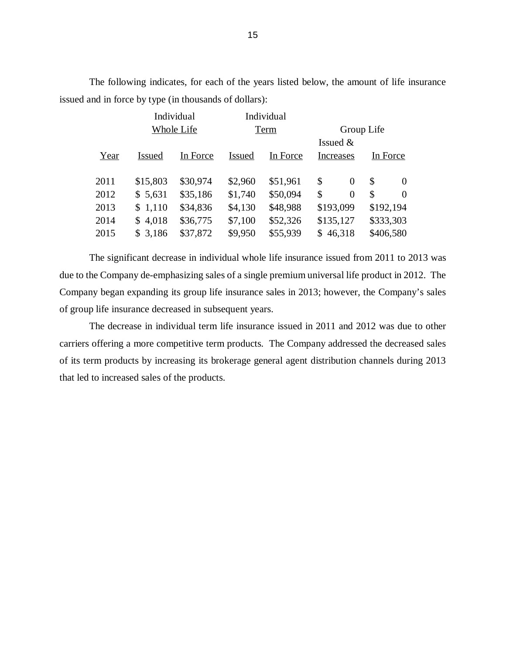issued and in force by type (in thousands of dollars): The following indicates, for each of the years listed below, the amount of life insurance

|      |               | Individual | Individual |          |            |                |           |          |
|------|---------------|------------|------------|----------|------------|----------------|-----------|----------|
|      | Whole Life    |            | Term       |          | Group Life |                |           |          |
|      |               |            |            |          | Issued $&$ |                |           |          |
| Year | <b>Issued</b> | In Force   | Issued     | In Force | Increases  |                |           | In Force |
|      |               |            |            |          |            |                |           |          |
| 2011 | \$15,803      | \$30,974   | \$2,960    | \$51,961 | \$         | $\Omega$       | \$        | $\Omega$ |
| 2012 | \$5,631       | \$35,186   | \$1,740    | \$50,094 | \$         | $\overline{0}$ | \$        | $\Omega$ |
| 2013 | \$1,110       | \$34,836   | \$4,130    | \$48,988 | \$193,099  |                | \$192,194 |          |
| 2014 | \$4,018       | \$36,775   | \$7,100    | \$52,326 | \$135,127  |                | \$333,303 |          |
| 2015 | \$3,186       | \$37,872   | \$9,950    | \$55,939 | \$46,318   |                | \$406,580 |          |
|      |               |            |            |          |            |                |           |          |

 due to the Company de-emphasizing sales of a single premium universal life product in 2012. The Company began expanding its group life insurance sales in 2013; however, the Company's sales of group life insurance decreased in subsequent years. The significant decrease in individual whole life insurance issued from 2011 to 2013 was

 carriers offering a more competitive term products. The Company addressed the decreased sales of its term products by increasing its brokerage general agent distribution channels during 2013 that led to increased sales of the products. The decrease in individual term life insurance issued in 2011 and 2012 was due to other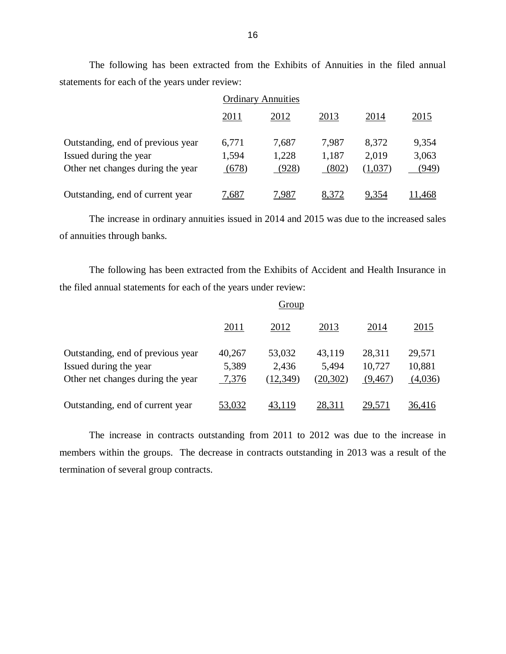statements for each of the years under review: The following has been extracted from the Exhibits of Annuities in the filed annual

|                                                                                                  | <b>Ordinary Annuities</b> |                         |                         |                           |                         |
|--------------------------------------------------------------------------------------------------|---------------------------|-------------------------|-------------------------|---------------------------|-------------------------|
|                                                                                                  | <u>2011</u>               | 2012                    | 2013                    | 2014                      | 2015                    |
| Outstanding, end of previous year<br>Issued during the year<br>Other net changes during the year | 6,771<br>1,594<br>(678)   | 7,687<br>1,228<br>(928) | 7,987<br>1,187<br>(802) | 8,372<br>2,019<br>(1,037) | 9,354<br>3,063<br>(949) |
| Outstanding, end of current year                                                                 | 7,687                     | 7,987                   | 8,372                   | 9,354                     | .468                    |

 The increase in ordinary annuities issued in 2014 and 2015 was due to the increased sales of annuities through banks.

 The following has been extracted from the Exhibits of Accident and Health Insurance in the filed annual statements for each of the years under review:

|                                                                                                  | Group                    |                              |                              |                             |                             |
|--------------------------------------------------------------------------------------------------|--------------------------|------------------------------|------------------------------|-----------------------------|-----------------------------|
|                                                                                                  | 2011                     | 2012                         | 2013                         | 2014                        | 2015                        |
| Outstanding, end of previous year<br>Issued during the year<br>Other net changes during the year | 40,267<br>5,389<br>7,376 | 53,032<br>2,436<br>(12, 349) | 43,119<br>5,494<br>(20, 302) | 28,311<br>10,727<br>(9,467) | 29,571<br>10,881<br>(4,036) |
| Outstanding, end of current year                                                                 | 53,032                   | 43,119                       | 28,311                       | 29,571                      | 36,416                      |

 The increase in contracts outstanding from 2011 to 2012 was due to the increase in members within the groups. The decrease in contracts outstanding in 2013 was a result of the termination of several group contracts.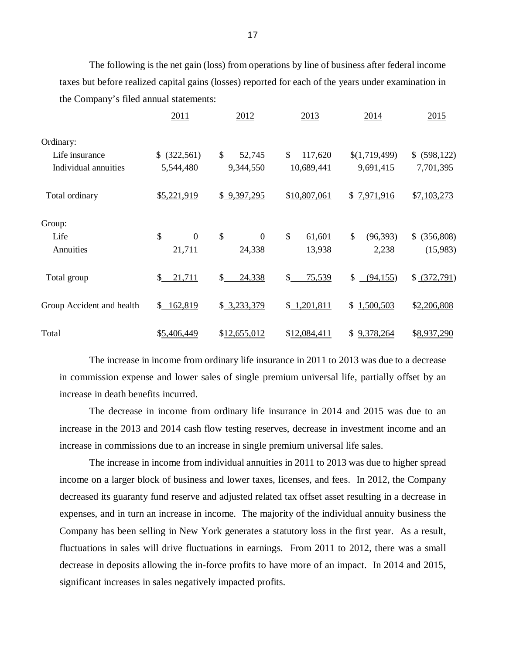taxes but before realized capital gains (losses) reported for each of the years under examination in the Company's filed annual statements: The following is the net gain (loss) from operations by line of business after federal income

|                           | 2011                 | 2012                 | 2013          | 2014                       | 2015                       |
|---------------------------|----------------------|----------------------|---------------|----------------------------|----------------------------|
| Ordinary:                 |                      |                      |               |                            |                            |
| Life insurance            | \$ (322, 561)        | \$<br>52,745         | \$<br>117,620 | \$(1,719,499)              | \$ (598,122)               |
| Individual annuities      | 5,544,480            | 9,344,550            | 10,689,441    | 9,691,415                  | 7,701,395                  |
| Total ordinary            | \$5,221,919          | \$9,397,295          | \$10,807,061  | \$7,971,916                | \$7,103,273                |
| Group:                    |                      |                      |               |                            |                            |
| Life                      | \$<br>$\overline{0}$ | \$<br>$\overline{0}$ | \$<br>61,601  | $\mathcal{S}$<br>(96, 393) | $\mathbb{S}$<br>(356, 808) |
| Annuities                 | 21,711               | 24,338               | 13,938        | 2,238                      | (15,983)                   |
| Total group               | \$<br>21,711         | \$<br>24,338         | \$<br>75,539  | \$<br>(94, 155)            | \$ (372,791)               |
| Group Accident and health | \$162,819            | \$3,233,379          | \$1,201,811   | \$1,500,503                | \$2,206,808                |
| Total                     | \$5,406,449          | \$12,655,012         | \$12,084,411  | 9,378,264<br>\$            | \$8,937,290                |

 The increase in income from ordinary life insurance in 2011 to 2013 was due to a decrease in commission expense and lower sales of single premium universal life, partially offset by an increase in death benefits incurred.

 The decrease in income from ordinary life insurance in 2014 and 2015 was due to an increase in the 2013 and 2014 cash flow testing reserves, decrease in investment income and an increase in commissions due to an increase in single premium universal life sales.

 The increase in income from individual annuities in 2011 to 2013 was due to higher spread income on a larger block of business and lower taxes, licenses, and fees. In 2012, the Company decreased its guaranty fund reserve and adjusted related tax offset asset resulting in a decrease in expenses, and in turn an increase in income. The majority of the individual annuity business the Company has been selling in New York generates a statutory loss in the first year. As a result, fluctuations in sales will drive fluctuations in earnings. From 2011 to 2012, there was a small decrease in deposits allowing the in-force profits to have more of an impact. In 2014 and 2015, significant increases in sales negatively impacted profits.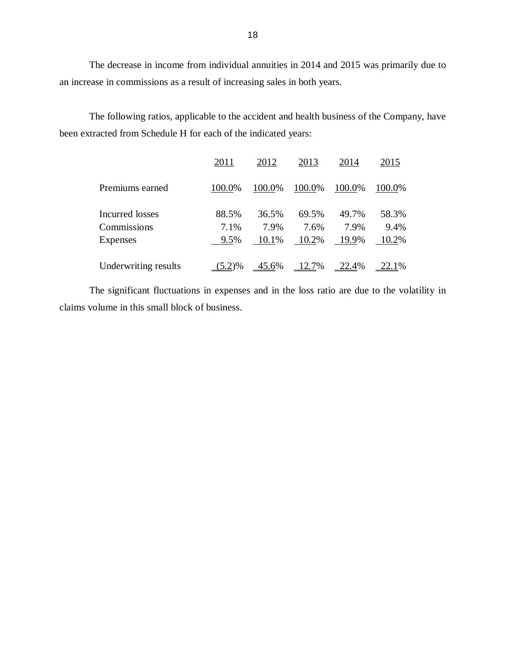The decrease in income from individual annuities in 2014 and 2015 was primarily due to an increase in commissions as a result of increasing sales in both years.

 The following ratios, applicable to the accident and health business of the Company, have been extracted from Schedule H for each of the indicated years:

|                      | 2011      | 2012                    | 2013   | 2014          | 2015      |
|----------------------|-----------|-------------------------|--------|---------------|-----------|
| Premiums earned      | 100.0%    | 100.0%                  | 100.0% | 100.0%        | 100.0%    |
| Incurred losses      | 88.5%     | 36.5%                   | 69.5%  | 49.7%         | 58.3%     |
| Commissions          | 7.1%      | 7.9%                    | 7.6%   | 7.9%          | 9.4%      |
| Expenses             | 9.5%      | 10.1%                   | 10.2%  | 19.9%         | 10.2%     |
| Underwriting results | $(5.2)\%$ | $\frac{45.6\%}{22.7\%}$ |        | <u>22.4</u> % | $-22.1\%$ |

 claims volume in this small block of business. The significant fluctuations in expenses and in the loss ratio are due to the volatility in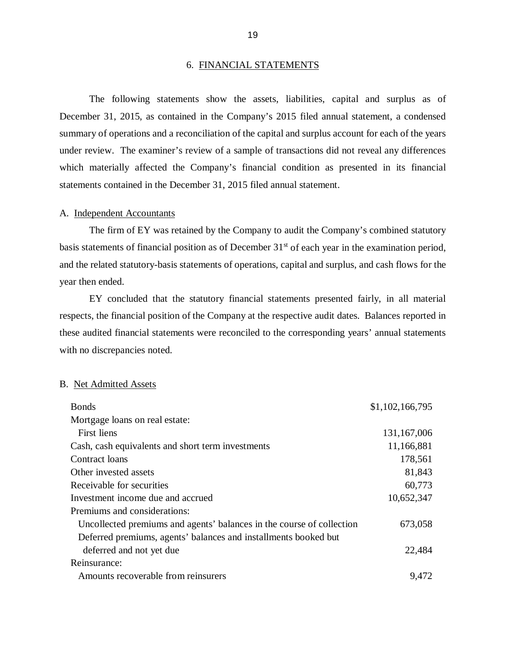#### 6. FINANCIAL STATEMENTS

 December 31, 2015, as contained in the Company's 2015 filed annual statement, a condensed summary of operations and a reconciliation of the capital and surplus account for each of the years under review. The examiner's review of a sample of transactions did not reveal any differences which materially affected the Company's financial condition as presented in its financial statements contained in the December 31, 2015 filed annual statement. The following statements show the assets, liabilities, capital and surplus as of

#### A. Independent Accountants

basis statements of financial position as of December 31<sup>st</sup> of each year in the examination period, and the related statutory-basis statements of operations, capital and surplus, and cash flows for the year then ended. The firm of EY was retained by the Company to audit the Company's combined statutory

 respects, the financial position of the Company at the respective audit dates. Balances reported in these audited financial statements were reconciled to the corresponding years' annual statements with no discrepancies noted. EY concluded that the statutory financial statements presented fairly, in all material

#### B. Net Admitted Assets

| <b>Bonds</b>                                                          | \$1,102,166,795 |
|-----------------------------------------------------------------------|-----------------|
| Mortgage loans on real estate:                                        |                 |
| First liens                                                           | 131,167,006     |
| Cash, cash equivalents and short term investments                     | 11,166,881      |
| Contract loans                                                        | 178,561         |
| Other invested assets                                                 | 81,843          |
| Receivable for securities                                             | 60,773          |
| Investment income due and accrued                                     | 10,652,347      |
| Premiums and considerations:                                          |                 |
| Uncollected premiums and agents' balances in the course of collection | 673,058         |
| Deferred premiums, agents' balances and installments booked but       |                 |
| deferred and not yet due                                              | 22,484          |
| Reinsurance:                                                          |                 |
| Amounts recoverable from reinsurers                                   | 9,472           |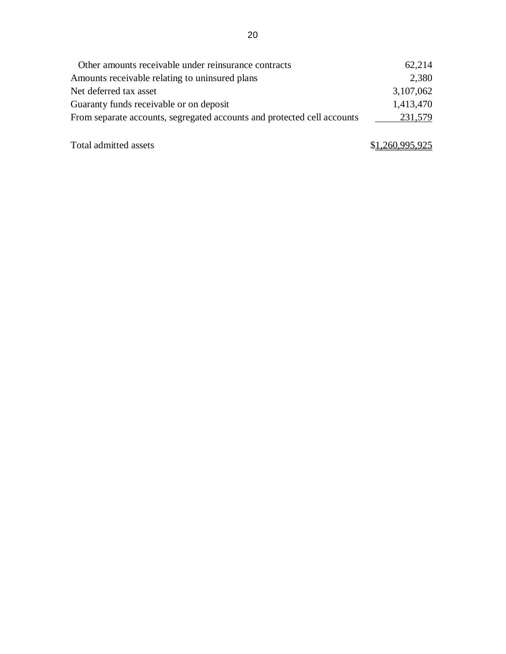<span id="page-22-0"></span>

| Other amounts receivable under reinsurance contracts                    | 62,214    |
|-------------------------------------------------------------------------|-----------|
| Amounts receivable relating to uninsured plans                          | 2,380     |
| Net deferred tax asset                                                  | 3,107,062 |
| Guaranty funds receivable or on deposit                                 | 1,413,470 |
| From separate accounts, segregated accounts and protected cell accounts | 231,579   |
|                                                                         |           |

Total admitted assets

# \$1,260,995,925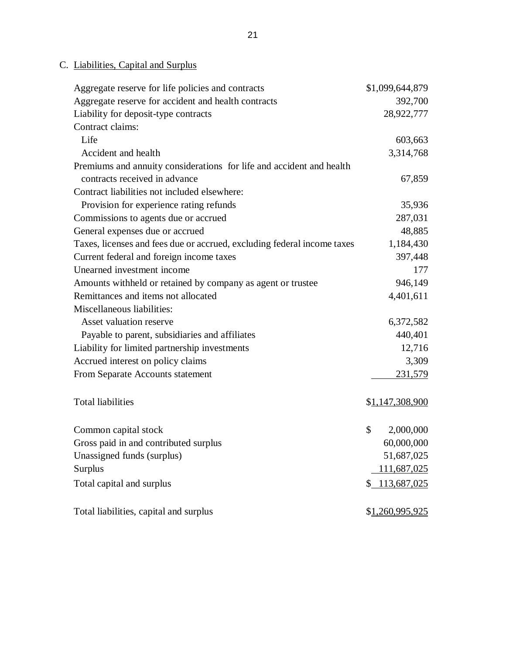#### C. Liabilities, Capital and Surplus

| Aggregate reserve for life policies and contracts                       | \$1,099,644,879   |
|-------------------------------------------------------------------------|-------------------|
| Aggregate reserve for accident and health contracts                     | 392,700           |
| Liability for deposit-type contracts                                    | 28,922,777        |
| Contract claims:                                                        |                   |
| Life                                                                    | 603,663           |
| Accident and health                                                     | 3,314,768         |
| Premiums and annuity considerations for life and accident and health    |                   |
| contracts received in advance                                           | 67,859            |
| Contract liabilities not included elsewhere:                            |                   |
| Provision for experience rating refunds                                 | 35,936            |
| Commissions to agents due or accrued                                    | 287,031           |
| General expenses due or accrued                                         | 48,885            |
| Taxes, licenses and fees due or accrued, excluding federal income taxes | 1,184,430         |
| Current federal and foreign income taxes                                | 397,448           |
| Unearned investment income                                              | 177               |
| Amounts withheld or retained by company as agent or trustee             | 946,149           |
| Remittances and items not allocated                                     | 4,401,611         |
| Miscellaneous liabilities:                                              |                   |
| Asset valuation reserve                                                 | 6,372,582         |
| Payable to parent, subsidiaries and affiliates                          | 440,401           |
| Liability for limited partnership investments                           | 12,716            |
| Accrued interest on policy claims                                       | 3,309             |
| From Separate Accounts statement                                        | 231,579           |
|                                                                         |                   |
| <b>Total liabilities</b>                                                | \$1,147,308,900   |
|                                                                         |                   |
| Common capital stock                                                    | \$<br>2,000,000   |
| Gross paid in and contributed surplus                                   | 60,000,000        |
| Unassigned funds (surplus)                                              | 51,687,025        |
| Surplus                                                                 | 111,687,025       |
| Total capital and surplus                                               | 113,687,025<br>\$ |
|                                                                         |                   |
| Total liabilities, capital and surplus                                  | \$1,260,995,925   |
|                                                                         |                   |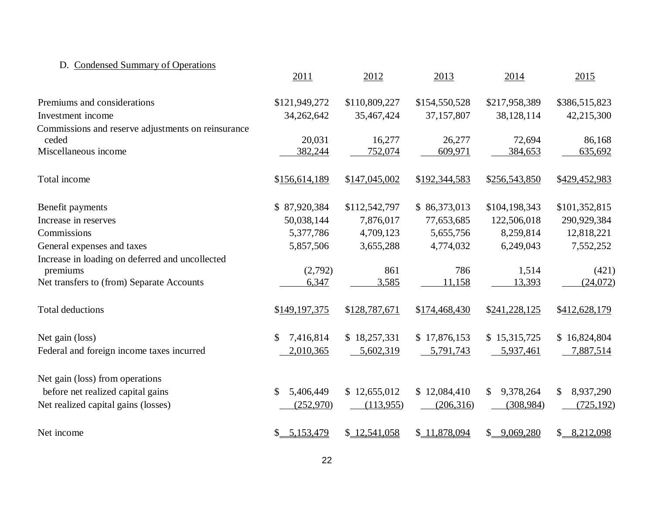#### D. Condensed Summary of Operations

|                                                    | 2011            | 2012          | 2013          | 2014                      | 2015            |
|----------------------------------------------------|-----------------|---------------|---------------|---------------------------|-----------------|
| Premiums and considerations                        | \$121,949,272   | \$110,809,227 | \$154,550,528 | \$217,958,389             | \$386,515,823   |
| Investment income                                  | 34,262,642      | 35,467,424    | 37,157,807    | 38,128,114                | 42,215,300      |
| Commissions and reserve adjustments on reinsurance |                 |               |               |                           |                 |
| ceded                                              | 20,031          | 16,277        | 26,277        | 72,694                    | 86,168          |
| Miscellaneous income                               | 382,244         | 752,074       | 609,971       | 384,653                   | 635,692         |
| Total income                                       | \$156,614,189   | \$147,045,002 | \$192,344,583 | \$256,543,850             | \$429,452,983   |
| Benefit payments                                   | \$87,920,384    | \$112,542,797 | \$86,373,013  | \$104,198,343             | \$101,352,815   |
| Increase in reserves                               | 50,038,144      | 7,876,017     | 77,653,685    | 122,506,018               | 290,929,384     |
| Commissions                                        | 5,377,786       | 4,709,123     | 5,655,756     | 8,259,814                 | 12,818,221      |
| General expenses and taxes                         | 5,857,506       | 3,655,288     | 4,774,032     | 6,249,043                 | 7,552,252       |
| Increase in loading on deferred and uncollected    |                 |               |               |                           |                 |
| premiums                                           | (2,792)         | 861           | 786           | 1,514                     | (421)           |
| Net transfers to (from) Separate Accounts          | 6,347           | 3,585         | 11,158        | 13,393                    | (24,072)        |
| <b>Total deductions</b>                            | \$149,197,375   | \$128,787,671 | \$174,468,430 | \$241,228,125             | \$412,628,179   |
| Net gain (loss)                                    | 7,416,814<br>\$ | \$18,257,331  | \$17,876,153  | \$15,315,725              | \$16,824,804    |
| Federal and foreign income taxes incurred          | 2,010,365       | 5,602,319     | 5,791,743     | 5,937,461                 | 7,887,514       |
| Net gain (loss) from operations                    |                 |               |               |                           |                 |
| before net realized capital gains                  | 5,406,449<br>\$ | \$12,655,012  | \$12,084,410  | 9,378,264<br>\$           | \$<br>8,937,290 |
| Net realized capital gains (losses)                | (252,970)       | (113,955)     | (206,316)     | (308, 984)                | (725, 192)      |
| Net income                                         | \$ 5,153,479    | \$12,541,058  | \$11,878,094  | $\mathbb{S}$<br>9,069,280 | 8,212,098<br>\$ |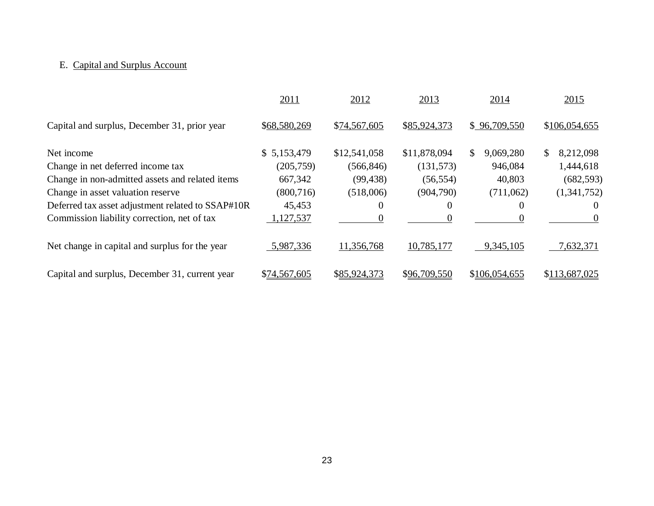### E. Capital and Surplus Account

|                                                   | 2011         | 2012         | 2013         | 2014            | 2015            |
|---------------------------------------------------|--------------|--------------|--------------|-----------------|-----------------|
| Capital and surplus, December 31, prior year      | \$68,580,269 | \$74,567,605 | \$85,924,373 | \$96,709,550    | \$106,054,655   |
| Net income                                        | \$5,153,479  | \$12,541,058 | \$11,878,094 | 9,069,280<br>S. | 8,212,098<br>S. |
| Change in net deferred income tax                 | (205,759)    | (566, 846)   | (131,573)    | 946,084         | 1,444,618       |
| Change in non-admitted assets and related items   | 667,342      | (99, 438)    | (56, 554)    | 40,803          | (682, 593)      |
| Change in asset valuation reserve                 | (800, 716)   | (518,006)    | (904,790)    | (711,062)       | (1,341,752)     |
| Deferred tax asset adjustment related to SSAP#10R | 45,453       | $\theta$     | $\theta$     | $\theta$        | $\theta$        |
| Commission liability correction, net of tax       | 1,127,537    |              |              |                 | $\theta$        |
| Net change in capital and surplus for the year    | 5,987,336    | 11,356,768   | 10,785,177   | 9,345,105       | 7,632,371       |
| Capital and surplus, December 31, current year    | \$74,567,605 | \$85,924,373 | \$96,709,550 | \$106,054,655   | \$113,687,025   |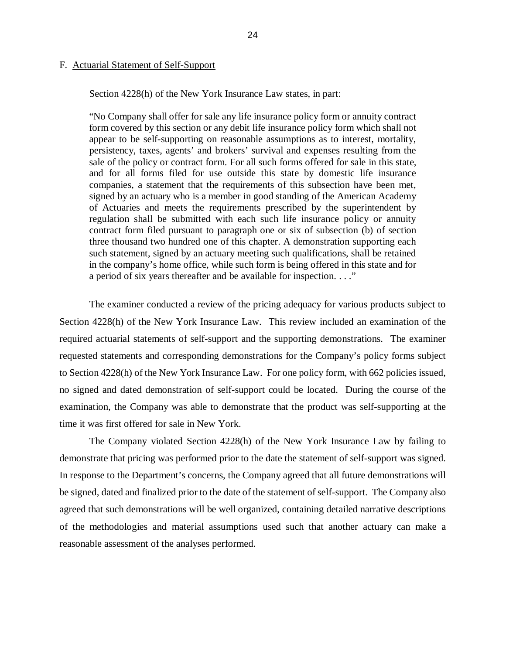#### <span id="page-26-0"></span>F. **Actuarial Statement of Self-Support**

Section 4228(h) of the New York Insurance Law states, in part:

 "No Company shall offer for sale any life insurance policy form or annuity contract form covered by this section or any debit life insurance policy form which shall not appear to be self-supporting on reasonable assumptions as to interest, mortality, persistency, taxes, agents' and brokers' survival and expenses resulting from the sale of the policy or contract form. For all such forms offered for sale in this state, and for all forms filed for use outside this state by domestic life insurance companies, a statement that the requirements of this subsection have been met, signed by an actuary who is a member in good standing of the American Academy of Actuaries and meets the requirements prescribed by the superintendent by regulation shall be submitted with each such life insurance policy or annuity contract form filed pursuant to paragraph one or six of subsection (b) of section three thousand two hundred one of this chapter. A demonstration supporting each such statement, signed by an actuary meeting such qualifications, shall be retained in the company's home office, while such form is being offered in this state and for a period of six years thereafter and be available for inspection. . . ."

 The examiner conducted a review of the pricing adequacy for various products subject to Section 4228(h) of the New York Insurance Law. This review included an examination of the required actuarial statements of self-support and the supporting demonstrations. The examiner requested statements and corresponding demonstrations for the Company's policy forms subject to Section 4228(h) of the New York Insurance Law. For one policy form, with 662 policies issued, no signed and dated demonstration of self-support could be located. During the course of the examination, the Company was able to demonstrate that the product was self-supporting at the time it was first offered for sale in New York.

 The Company violated Section 4228(h) of the New York Insurance Law by failing to demonstrate that pricing was performed prior to the date the statement of self-support was signed. In response to the Department's concerns, the Company agreed that all future demonstrations will be signed, dated and finalized prior to the date of the statement of self-support. The Company also agreed that such demonstrations will be well organized, containing detailed narrative descriptions of the methodologies and material assumptions used such that another actuary can make a reasonable assessment of the analyses performed.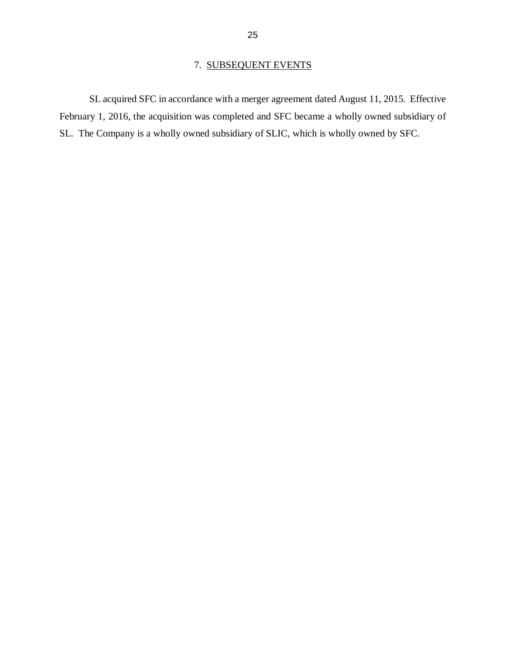#### 7. SUBSEQUENT EVENTS

<span id="page-27-0"></span> SL acquired SFC in accordance with a merger agreement dated August 11, 2015. Effective February 1, 2016, the acquisition was completed and SFC became a wholly owned subsidiary of SL. The Company is a wholly owned subsidiary of SLIC, which is wholly owned by SFC.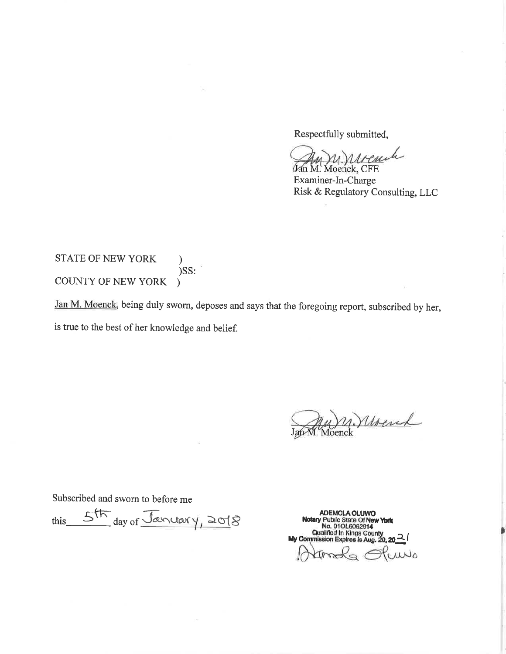Respectfully submitted,

u. nivemb

Jan M. Moenck, CFE Examiner-In-Charge Risk & Regulatory Consulting, LLC

#### STATE OF NEW YORK  $\mathcal{E}$  $)$ SS: COUNTY OF NEW YORK  $\lambda$

Jan M. Moenck, being duly sworn, deposes and says that the foregoing report, subscribed by her, is true to the best of her knowledge and belief.

Jan Moenck

Subscribed and sworn to before me

5th day of January, 2018 this

ADEMOLA OLUWO<br>Notary Public State Of New York<br>No. 010L6062914<br>Qualified In Kings County<br>My Commission Expires is Aug. 20, 20